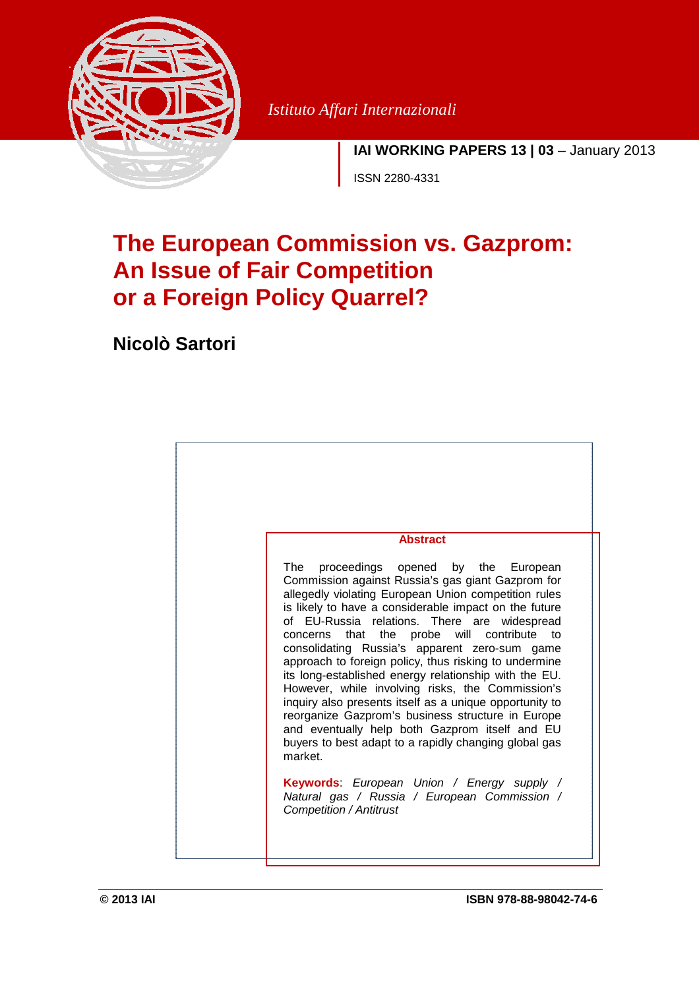

*Istituto Affari Internazionali* 

**IAI WORKING PAPERS 13 | 03** – January 2013

ISSN 2280-4331

# **The European Commission vs. Gazprom: An Issue of Fair Competition or a Foreign Policy Quarrel?**

**Nicolò Sartori** 

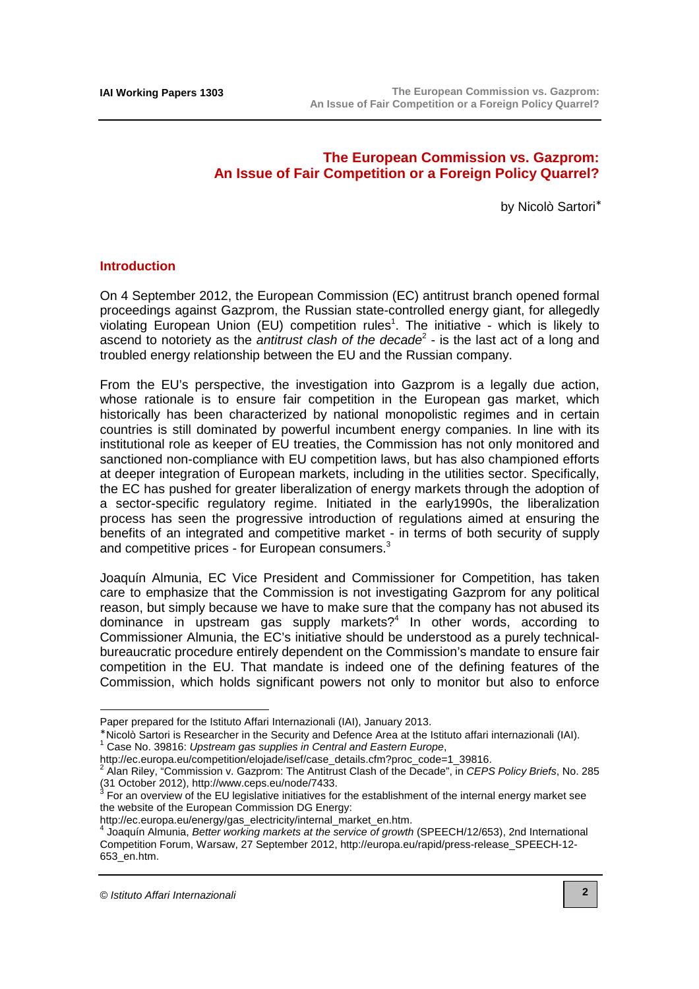# **The European Commission vs. Gazprom: An Issue of Fair Competition or a Foreign Policy Quarrel?**

by Nicolò Sartori<sup>∗</sup>

#### **Introduction**

On 4 September 2012, the European Commission (EC) antitrust branch opened formal proceedings against Gazprom, the Russian state-controlled energy giant, for allegedly violating European Union (EU) competition rules<sup>1</sup>. The initiative - which is likely to ascend to notoriety as the *antitrust clash of the decade*<sup>2</sup> - is the last act of a long and troubled energy relationship between the EU and the Russian company.

From the EU's perspective, the investigation into Gazprom is a legally due action, whose rationale is to ensure fair competition in the European gas market, which historically has been characterized by national monopolistic regimes and in certain countries is still dominated by powerful incumbent energy companies. In line with its institutional role as keeper of EU treaties, the Commission has not only monitored and sanctioned non-compliance with EU competition laws, but has also championed efforts at deeper integration of European markets, including in the utilities sector. Specifically, the EC has pushed for greater liberalization of energy markets through the adoption of a sector-specific regulatory regime. Initiated in the early1990s, the liberalization process has seen the progressive introduction of regulations aimed at ensuring the benefits of an integrated and competitive market - in terms of both security of supply and competitive prices - for European consumers.<sup>3</sup>

Joaquín Almunia, EC Vice President and Commissioner for Competition, has taken care to emphasize that the Commission is not investigating Gazprom for any political reason, but simply because we have to make sure that the company has not abused its dominance in upstream gas supply markets?<sup>4</sup> In other words, according to Commissioner Almunia, the EC's initiative should be understood as a purely technicalbureaucratic procedure entirely dependent on the Commission's mandate to ensure fair competition in the EU. That mandate is indeed one of the defining features of the Commission, which holds significant powers not only to monitor but also to enforce

Paper prepared for the Istituto Affari Internazionali (IAI), January 2013.

<sup>∗</sup> Nicolò Sartori is Researcher in the Security and Defence Area at the Istituto affari internazionali (IAI).

<sup>1</sup> Case No. 39816: Upstream gas supplies in Central and Eastern Europe,

http://ec.europa.eu/competition/elojade/isef/case\_details.cfm?proc\_code=1\_39816.<br><sup>2</sup> Alen Riley, "Commission v. Cognrem: The Antitrust Clash of the Decede" in CERS

Alan Riley, "Commission v. Gazprom: The Antitrust Clash of the Decade", in CEPS Policy Briefs, No. 285 (31 October 2012), [http://www.ceps.eu/node/7433.](http://www.ceps.eu/node/7433)<br><sup>3</sup> For an overview of the EU legislative initiatives for the establishment of the internal energy market see

the website of the European Commission DG Energy:

[http://ec.europa.eu/energy/gas\\_electricity/internal\\_market\\_en.htm.](http://ec.europa.eu/energy/gas_electricity/internal_market_en.htm)<br>4 leaguin Almunia, Rotter warking markets of the asprice of grouth

Joaquín Almunia, Better working markets at the service of growth (SPEECH/12/653), 2nd International [Competition Forum, Warsaw, 27 September 2012, http://europa.eu/rapid/press-release\\_SPEECH-12-](http://europa.eu/rapid/press-release_SPEECH-12-653_en.htm) 653\_en.htm.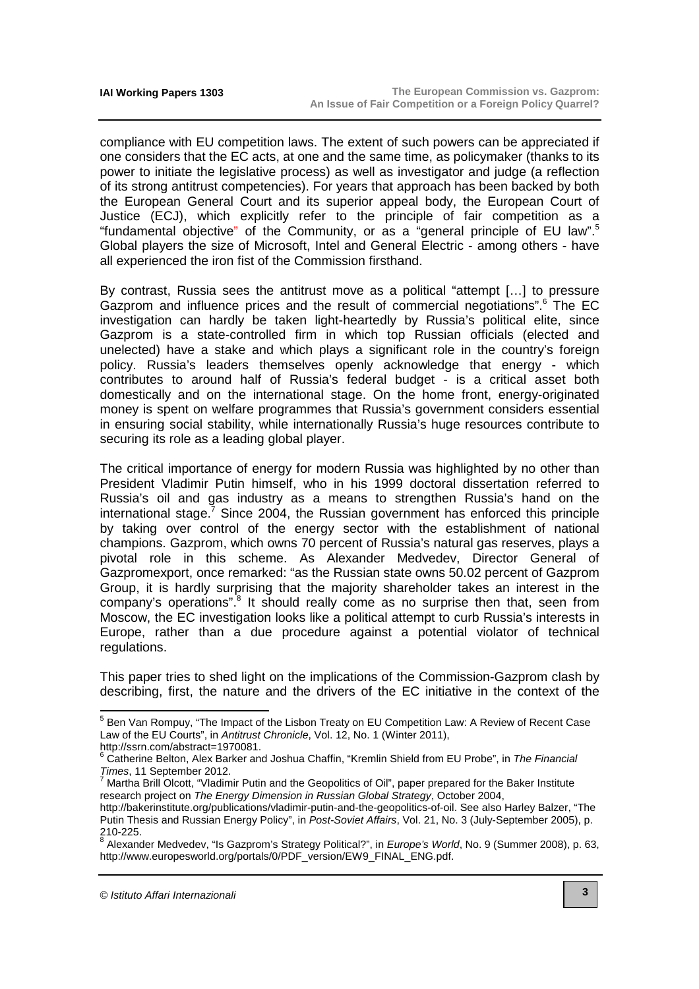compliance with EU competition laws. The extent of such powers can be appreciated if one considers that the EC acts, at one and the same time, as policymaker (thanks to its power to initiate the legislative process) as well as investigator and judge (a reflection of its strong antitrust competencies). For years that approach has been backed by both the European General Court and its superior appeal body, the European Court of Justice (ECJ), which explicitly refer to the principle of fair competition as a "fundamental objective" of the Community, or as a "general principle of EU law".<sup>5</sup> Global players the size of Microsoft, Intel and General Electric - among others - have all experienced the iron fist of the Commission firsthand.

By contrast, Russia sees the antitrust move as a political "attempt […] to pressure Gazprom and influence prices and the result of commercial negotiations".<sup>6</sup> The EC investigation can hardly be taken light-heartedly by Russia's political elite, since Gazprom is a state-controlled firm in which top Russian officials (elected and unelected) have a stake and which plays a significant role in the country's foreign policy. Russia's leaders themselves openly acknowledge that energy - which contributes to around half of Russia's federal budget - is a critical asset both domestically and on the international stage. On the home front, energy-originated money is spent on welfare programmes that Russia's government considers essential in ensuring social stability, while internationally Russia's huge resources contribute to securing its role as a leading global player.

The critical importance of energy for modern Russia was highlighted by no other than President Vladimir Putin himself, who in his 1999 doctoral dissertation referred to Russia's oil and gas industry as a means to strengthen Russia's hand on the international stage. $7$  Since 2004, the Russian government has enforced this principle by taking over control of the energy sector with the establishment of national champions. Gazprom, which owns 70 percent of Russia's natural gas reserves, plays a pivotal role in this scheme. As Alexander Medvedev, Director General of Gazpromexport, once remarked: "as the Russian state owns 50.02 percent of Gazprom Group, it is hardly surprising that the majority shareholder takes an interest in the company's operations".<sup>8</sup> It should really come as no surprise then that, seen from Moscow, the EC investigation looks like a political attempt to curb Russia's interests in Europe, rather than a due procedure against a potential violator of technical regulations.

This paper tries to shed light on the implications of the Commission-Gazprom clash by describing, first, the nature and the drivers of the EC initiative in the context of the

[http://ssrn.com/abstract=1970081.](http://ssrn.com/abstract=1970081)<br><sup>6</sup> Cetherine Belten, Alex Barker and

<sup>————————————————————&</sup>lt;br><sup>5</sup> Ben Van Rompuy, "The Impact of the Lisbon Treaty on EU Competition Law: A Review of Recent Case Law of the EU Courts", in Antitrust Chronicle, Vol. 12, No. 1 (Winter 2011),

Catherine Belton, Alex Barker and Joshua Chaffin, "Kremlin Shield from EU Probe", in The Financial *Times*, 11 September 2012.<br><sup>7</sup> Martha Brill Olcott, "Vladimir Putin and the Geopolitics of Oil", paper prepared for the Baker Institute

research project on The Energy Dimension in Russian Global Strategy, October 2004,

[http://bakerinstitute.org/publications/vladimir-putin-and-the-geopolitics-of-oil.](http://bakerinstitute.org/publications/vladimir-putin-and-the-geopolitics-of-oil) See also Harley Balzer, "The Putin Thesis and Russian Energy Policy", in Post-Soviet Affairs, Vol. 21, No. 3 (July-September 2005), p.

<sup>210-225.&</sup>lt;br><sup>8</sup> Alexander Medvedev, "Is Gazprom's Strategy Political?", in *Europe's World*, No. 9 (Summer 2008), p. 63, [http://www.europesworld.org/portals/0/PDF\\_version/EW9\\_FINAL\\_ENG.pdf.](http://www.europesworld.org/portals/0/PDF_version/EW9_FINAL_ENG.pdf)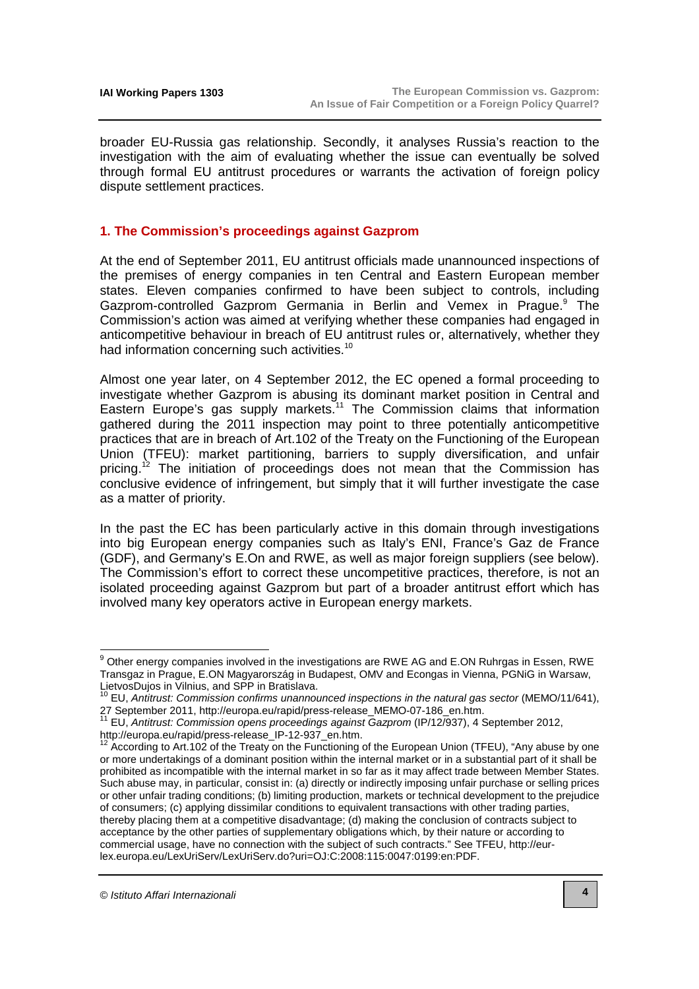broader EU-Russia gas relationship. Secondly, it analyses Russia's reaction to the investigation with the aim of evaluating whether the issue can eventually be solved through formal EU antitrust procedures or warrants the activation of foreign policy dispute settlement practices.

## **1. The Commission's proceedings against Gazprom**

At the end of September 2011, EU antitrust officials made unannounced inspections of the premises of energy companies in ten Central and Eastern European member states. Eleven companies confirmed to have been subject to controls, including Gazprom-controlled Gazprom Germania in Berlin and Vemex in Prague.<sup>9</sup> The Commission's action was aimed at verifying whether these companies had engaged in anticompetitive behaviour in breach of EU antitrust rules or, alternatively, whether they had information concerning such activities.<sup>10</sup>

Almost one year later, on 4 September 2012, the EC opened a formal proceeding to investigate whether Gazprom is abusing its dominant market position in Central and Eastern Europe's gas supply markets.<sup>11</sup> The Commission claims that information gathered during the 2011 inspection may point to three potentially anticompetitive practices that are in breach of Art.102 of the Treaty on the Functioning of the European Union (TFEU): market partitioning, barriers to supply diversification, and unfair pricing.<sup>12</sup> The initiation of proceedings does not mean that the Commission has conclusive evidence of infringement, but simply that it will further investigate the case as a matter of priority.

In the past the EC has been particularly active in this domain through investigations into big European energy companies such as Italy's ENI, France's Gaz de France (GDF), and Germany's E.On and RWE, as well as major foreign suppliers (see below). The Commission's effort to correct these uncompetitive practices, therefore, is not an isolated proceeding against Gazprom but part of a broader antitrust effort which has involved many key operators active in European energy markets.

 $9$  Other energy companies involved in the investigations are RWE AG and E.ON Ruhrgas in Essen, RWE Transgaz in Prague, E.ON Magyarország in Budapest, OMV and Econgas in Vienna, PGNiG in Warsaw, LietvosDujos in Vilnius, and SPP in Bratislava.

<sup>10</sup> EU, Antitrust: Commission confirms unannounced inspections in the natural gas sector (MEMO/11/641), 27 September 2011, [http://europa.eu/rapid/press-release\\_MEMO-07-186\\_en.htm.](http://europa.eu/rapid/press-release_MEMO-07-186_en.htm)

<sup>&</sup>lt;sup>11</sup> EU, Antitrust: Commission opens proceedings against Gazprom (IP/12/937), 4 September 2012, [http://europa.eu/rapid/press-release\\_IP-12-937\\_en.htm.](http://europa.eu/rapid/press-release_IP-12-937_en.htm) 

According to Art.102 of the Treaty on the Functioning of the European Union (TFEU), "Any abuse by one or more undertakings of a dominant position within the internal market or in a substantial part of it shall be prohibited as incompatible with the internal market in so far as it may affect trade between Member States. Such abuse may, in particular, consist in: (a) directly or indirectly imposing unfair purchase or selling prices or other unfair trading conditions; (b) limiting production, markets or technical development to the prejudice of consumers; (c) applying dissimilar conditions to equivalent transactions with other trading parties, thereby placing them at a competitive disadvantage; (d) making the conclusion of contracts subject to acceptance by the other parties of supplementary obligations which, by their nature or according to [commercial usage, have no connection with the subject of such contracts." See TFEU, http://eur](http://eur-lex.europa.eu/LexUriServ/LexUriServ.do?uri=OJ:C:2008:115:0047:0199:en:PDF)lex.europa.eu/LexUriServ/LexUriServ.do?uri=OJ:C:2008:115:0047:0199:en:PDF.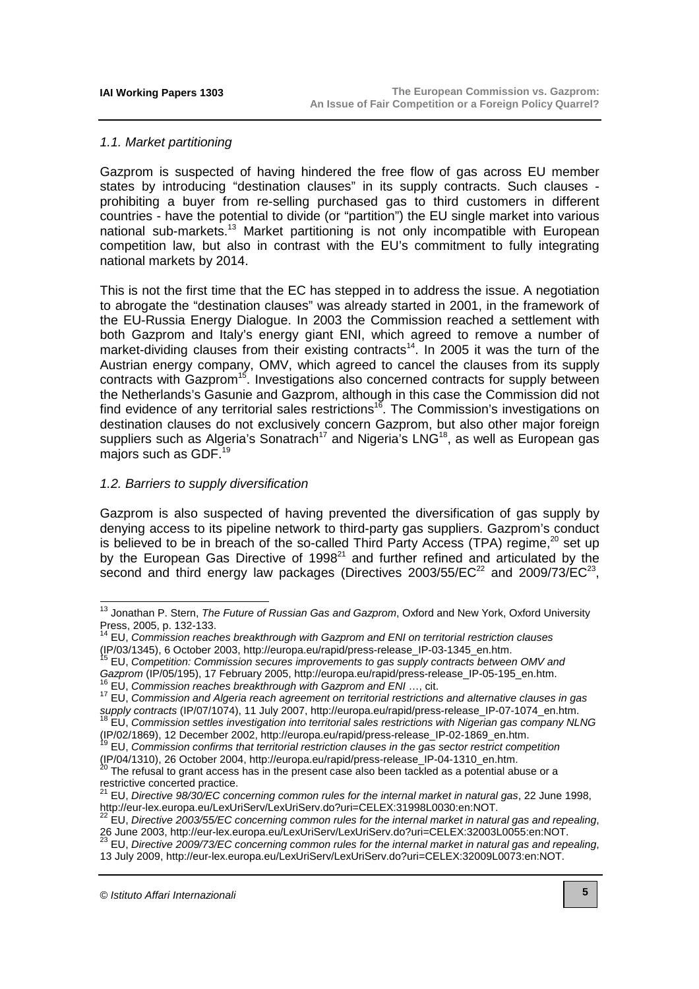## 1.1. Market partitioning

Gazprom is suspected of having hindered the free flow of gas across EU member states by introducing "destination clauses" in its supply contracts. Such clauses prohibiting a buyer from re-selling purchased gas to third customers in different countries - have the potential to divide (or "partition") the EU single market into various national sub-markets.<sup>13</sup> Market partitioning is not only incompatible with European competition law, but also in contrast with the EU's commitment to fully integrating national markets by 2014.

This is not the first time that the EC has stepped in to address the issue. A negotiation to abrogate the "destination clauses" was already started in 2001, in the framework of the EU-Russia Energy Dialogue. In 2003 the Commission reached a settlement with both Gazprom and Italy's energy giant ENI, which agreed to remove a number of market-dividing clauses from their existing contracts<sup>14</sup>. In 2005 it was the turn of the Austrian energy company, OMV, which agreed to cancel the clauses from its supply contracts with Gazprom<sup>15</sup>. Investigations also concerned contracts for supply between the Netherlands's Gasunie and Gazprom, although in this case the Commission did not find evidence of any territorial sales restrictions<sup>16</sup>. The Commission's investigations on destination clauses do not exclusively concern Gazprom, but also other major foreign suppliers such as Algeria's Sonatrach<sup>17</sup> and Nigeria's LNG<sup>18</sup>, as well as European gas majors such as GDF.<sup>19</sup>

## 1.2. Barriers to supply diversification

Gazprom is also suspected of having prevented the diversification of gas supply by denying access to its pipeline network to third-party gas suppliers. Gazprom's conduct is believed to be in breach of the so-called Third Party Access (TPA) regime,<sup>20</sup> set up by the European Gas Directive of 1998<sup>21</sup> and further refined and articulated by the second and third energy law packages (Directives 2003/55/EC $^{22}$  and 2009/73/EC $^{23}$ ,

 $\overline{a}$ 

<sup>&</sup>lt;sup>13</sup> Jonathan P. Stern, The Future of Russian Gas and Gazprom, Oxford and New York, Oxford University Press, 2005, p. 132-133.

 $14$  EU, Commission reaches breakthrough with Gazprom and ENI on territorial restriction clauses (IP/03/1345), 6 October 2003, [http://europa.eu/rapid/press-release\\_IP-03-1345\\_en.htm.](http://europa.eu/rapid/press-release_IP-03-1345_en.htm)

<sup>&</sup>lt;sup>15</sup> EU, Competition: Commission secures improvements to gas supply contracts between OMV and

Gazprom (IP/05/195), 17 February 2005, [http://europa.eu/rapid/press-release\\_IP-05-195\\_en.htm.](http://europa.eu/rapid/press-release_IP-05-195_en.htm) EU, Commission reaches breakthrough with Gazprom and ENI ..., cit.

<sup>&</sup>lt;sup>17</sup> EU, Commission and Algeria reach agreement on territorial restrictions and alternative clauses in gas

supply contracts (IP/07/1074), 11 July 2007, [http://europa.eu/rapid/press-release\\_IP-07-1074\\_en.htm.](http://europa.eu/rapid/press-release_IP-07-1074_en.htm) <sup>18</sup> EU, Commission settles investigation into territorial sales restrictions with Nigerian gas company NLNG

<sup>(</sup>IP/02/1869), 12 December 2002, [http://europa.eu/rapid/press-release\\_IP-02-1869\\_en.htm.](http://europa.eu/rapid/press-release_IP-02-1869_en.htm) 

<sup>19</sup> EU, Commission confirms that territorial restriction clauses in the gas sector restrict competition (IP/04/1310), 26 October 2004, [http://europa.eu/rapid/press-release\\_IP-04-1310\\_en.htm.](http://europa.eu/rapid/press-release_IP-04-1310_en.htm)

 $^{20}$  The refusal to grant access has in the present case also been tackled as a potential abuse or a restrictive concerted practice.

 $^{21}$  EU, Directive 98/30/EC concerning common rules for the internal market in natural gas, 22 June 1998, [http://eur-lex.europa.eu/LexUriServ/LexUriServ.do?uri=CELEX:31998L0030:en:NOT.](http://eur-lex.europa.eu/LexUriServ/LexUriServ.do?uri=CELEX:31998L0030:en:NOT)

 $22$  EU, Directive 2003/55/EC concerning common rules for the internal market in natural gas and repealing, 26 June 2003, [http://eur-lex.europa.eu/LexUriServ/LexUriServ.do?uri=CELEX:32003L0055:en:NOT.](http://eur-lex.europa.eu/LexUriServ/LexUriServ.do?uri=CELEX:32003L0055:en:NOT) <sup>23</sup> EU, Directive 2009/73/EC concerning common rules for the internal market in natural gas and repealing,

<sup>13</sup> July 2009, [http://eur-lex.europa.eu/LexUriServ/LexUriServ.do?uri=CELEX:32009L0073:en:NOT.](http://eur-lex.europa.eu/LexUriServ/LexUriServ.do?uri=CELEX:32009L0073:en:NOT)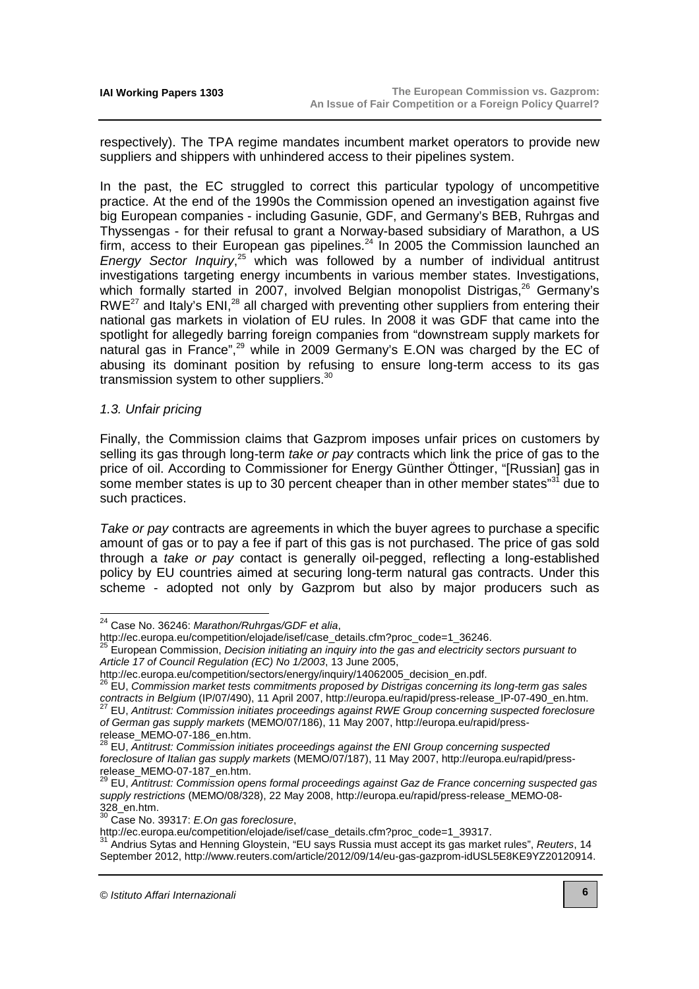respectively). The TPA regime mandates incumbent market operators to provide new suppliers and shippers with unhindered access to their pipelines system.

In the past, the EC struggled to correct this particular typology of uncompetitive practice. At the end of the 1990s the Commission opened an investigation against five big European companies - including Gasunie, GDF, and Germany's BEB, Ruhrgas and Thyssengas - for their refusal to grant a Norway-based subsidiary of Marathon, a US firm, access to their European gas pipelines.<sup>24</sup> In 2005 the Commission launched an Energy Sector Inquiry,<sup>25</sup> which was followed by a number of individual antitrust investigations targeting energy incumbents in various member states. Investigations, which formally started in 2007, involved Belgian monopolist Distrigas,<sup>26</sup> Germany's  $RWE^{27}$  and Italy's ENI,<sup>28</sup> all charged with preventing other suppliers from entering their national gas markets in violation of EU rules. In 2008 it was GDF that came into the spotlight for allegedly barring foreign companies from "downstream supply markets for natural gas in France",<sup>29</sup> while in 2009 Germany's E.ON was charged by the EC of abusing its dominant position by refusing to ensure long-term access to its gas transmission system to other suppliers. $30$ 

#### 1.3. Unfair pricing

 $\overline{a}$ 

Finally, the Commission claims that Gazprom imposes unfair prices on customers by selling its gas through long-term take or pay contracts which link the price of gas to the price of oil. According to Commissioner for Energy Günther Öttinger, "[Russian] gas in some member states is up to 30 percent cheaper than in other member states"<sup>31</sup> due to such practices.

Take or pay contracts are agreements in which the buyer agrees to purchase a specific amount of gas or to pay a fee if part of this gas is not purchased. The price of gas sold through a take or pay contact is generally oil-pegged, reflecting a long-established policy by EU countries aimed at securing long-term natural gas contracts. Under this scheme - adopted not only by Gazprom but also by major producers such as

<sup>&</sup>lt;sup>24</sup> Case No. 36246: Marathon/Ruhrgas/GDF et alia,

http://ec.europa.eu/competition/elojade/isef/case\_details.cfm?proc\_code=1\_36246.

<sup>25</sup> European Commission, Decision initiating an inquiry into the gas and electricity sectors pursuant to Article 17 of Council Regulation (EC) No 1/2003, 13 June 2005,

http://ec.europa.eu/competition/sectors/energy/inquiry/14062005\_decision\_en.pdf.

<sup>26</sup> EU, Commission market tests commitments proposed by Distrigas concerning its long-term gas sales contracts in Belgium (IP/07/490), 11 April 2007, [http://europa.eu/rapid/press-release\\_IP-07-490\\_en.htm.](http://europa.eu/rapid/press-release_IP-07-490_en.htm)  $27$  EU, Antitrust: Commission initiates proceedings against RWE Group concerning suspected foreclosure of German gas supply markets [\(MEMO/07/186\), 11 May 2007, http://europa.eu/rapid/press](http://europa.eu/rapid/press-release_MEMO-07-186_en.htm)release\_MEMO-07-186\_en.htm.

 $^{28}$  EU,  $\bar{A}$ ntitrust: Commission initiates proceedings against the ENI Group concerning suspected foreclosure of Italian gas supply markets [\(MEMO/07/187\), 11 May 2007, http://europa.eu/rapid/press](http://europa.eu/rapid/press-release_MEMO-07-187_en.htm)release\_MEMO-07-187\_en.htm.

<sup>&</sup>lt;sup>29</sup> EU, Antitrust: Commission opens formal proceedings against Gaz de France concerning suspected gas supply restrictions [\(MEMO/08/328\), 22 May 2008, http://europa.eu/rapid/press-release\\_MEMO-08-](http://europa.eu/rapid/press-release_MEMO-08-328_en.htm) 328\_en.htm.

 $30$  Case No. 39317: E.On gas foreclosure,

http://ec.europa.eu/competition/elojade/isef/case\_details.cfm?proc\_code=1\_39317.

<sup>31</sup> Andrius Sytas and Henning Gloystein, "EU says Russia must accept its gas market rules", Reuters, 14 September 2012, [http://www.reuters.com/article/2012/09/14/eu-gas-gazprom-idUSL5E8KE9YZ20120914.](http://www.reuters.com/article/2012/09/14/eu-gas-gazprom-idUSL5E8KE9YZ20120914)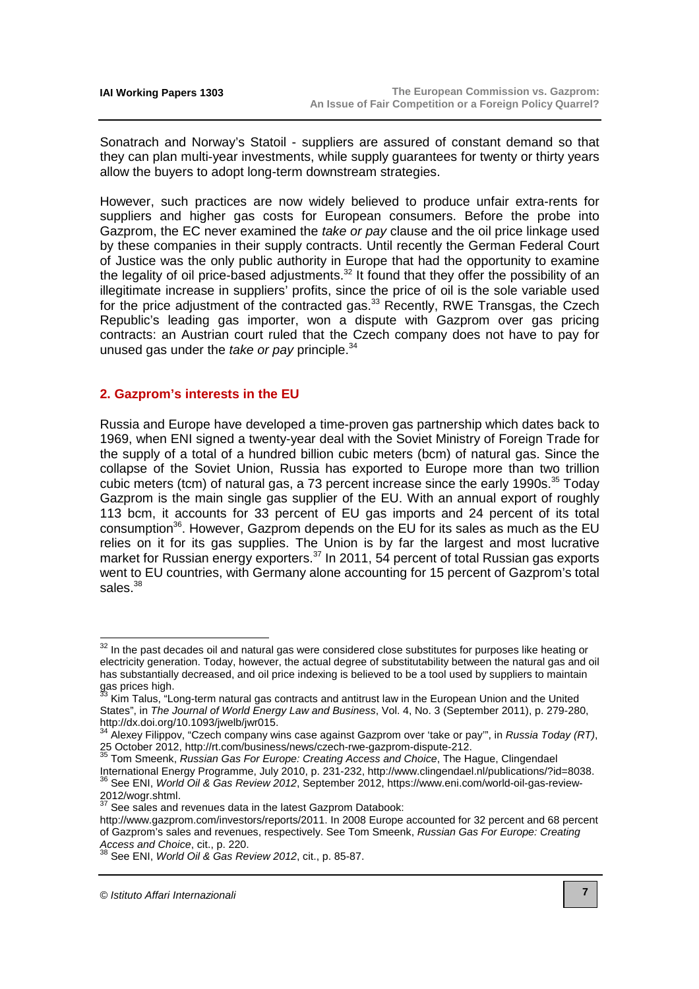Sonatrach and Norway's Statoil - suppliers are assured of constant demand so that they can plan multi-year investments, while supply guarantees for twenty or thirty years allow the buyers to adopt long-term downstream strategies.

However, such practices are now widely believed to produce unfair extra-rents for suppliers and higher gas costs for European consumers. Before the probe into Gazprom, the EC never examined the take or pay clause and the oil price linkage used by these companies in their supply contracts. Until recently the German Federal Court of Justice was the only public authority in Europe that had the opportunity to examine the legality of oil price-based adjustments.<sup>32</sup> It found that they offer the possibility of an illegitimate increase in suppliers' profits, since the price of oil is the sole variable used for the price adjustment of the contracted gas.<sup>33</sup> Recently, RWE Transgas, the Czech Republic's leading gas importer, won a dispute with Gazprom over gas pricing contracts: an Austrian court ruled that the Czech company does not have to pay for unused gas under the take or pay principle.<sup>34</sup>

#### **2. Gazprom's interests in the EU**

Russia and Europe have developed a time-proven gas partnership which dates back to 1969, when ENI signed a twenty-year deal with the Soviet Ministry of Foreign Trade for the supply of a total of a hundred billion cubic meters (bcm) of natural gas. Since the collapse of the Soviet Union, Russia has exported to Europe more than two trillion cubic meters (tcm) of natural gas, a 73 percent increase since the early 1990s.<sup>35</sup> Today Gazprom is the main single gas supplier of the EU. With an annual export of roughly 113 bcm, it accounts for 33 percent of EU gas imports and 24 percent of its total consumption $36$ . However, Gazprom depends on the EU for its sales as much as the EU relies on it for its gas supplies. The Union is by far the largest and most lucrative market for Russian energy exporters. $37$  In 2011, 54 percent of total Russian gas exports went to EU countries, with Germany alone accounting for 15 percent of Gazprom's total sales $38$ 

 $32$  In the past decades oil and natural gas were considered close substitutes for purposes like heating or electricity generation. Today, however, the actual degree of substitutability between the natural gas and oil has substantially decreased, and oil price indexing is believed to be a tool used by suppliers to maintain gas prices high.

<sup>33</sup> Kim Talus, "Long-term natural gas contracts and antitrust law in the European Union and the United States", in The Journal of World Energy Law and Business, Vol. 4, No. 3 (September 2011), p. 279-280, [http://dx.doi.org/10.1093/jwelb/jwr015.](http://dx.doi.org/10.1093/jwelb/jwr015)

 $34$  Alexey Filippov, "Czech company wins case against Gazprom over 'take or pay'", in Russia Today (RT), 25 October 2012, http://rt.com/business/news/czech-rwe-gazprom-dispute-212.<br><sup>35</sup> Tom Smoonk, Bussine Care Frame

Tom Smeenk, Russian Gas For Europe: Creating Access and Choice, The Hague, Clingendael International Energy Programme, July 2010, p. 231-232, [http://www.clingendael.nl/publications/?id=8038.](http://www.clingendael.nl/publications/?id=8038) <sup>36</sup> See ENI, *World Oil & Gas Review 2012*[, September 2012, https://www.eni.com/world-oil-gas-review-](https://www.eni.com/world-oil-gas-review-2012/wogr.shtml) $2012/wogr.shtml.$ <br> $\frac{37}{2}$ 

See sales and revenues data in the latest Gazprom Databook:

[http://www.gazprom.com/investors/reports/2011.](http://www.gazprom.com/investors/reports/2011) In 2008 Europe accounted for 32 percent and 68 percent of Gazprom's sales and revenues, respectively. See Tom Smeenk, Russian Gas For Europe: Creating Access and Choice, cit., p. 220.

 $38$  See ENI, World Oil & Gas Review 2012, cit., p. 85-87.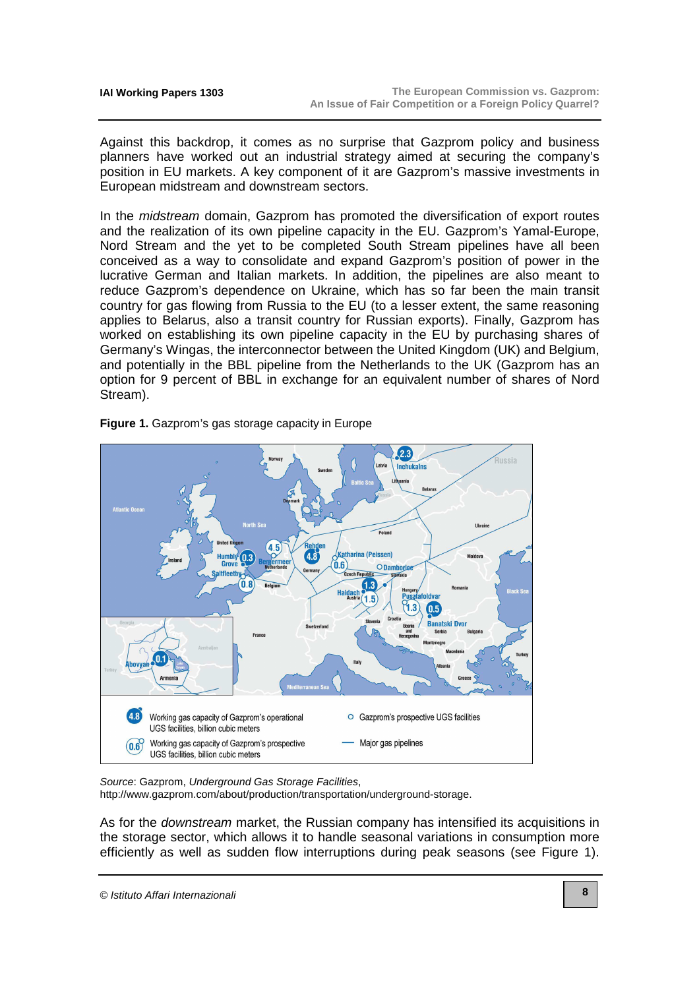Against this backdrop, it comes as no surprise that Gazprom policy and business planners have worked out an industrial strategy aimed at securing the company's position in EU markets. A key component of it are Gazprom's massive investments in European midstream and downstream sectors.

In the *midstream* domain, Gazprom has promoted the diversification of export routes and the realization of its own pipeline capacity in the EU. Gazprom's Yamal-Europe, Nord Stream and the yet to be completed South Stream pipelines have all been conceived as a way to consolidate and expand Gazprom's position of power in the lucrative German and Italian markets. In addition, the pipelines are also meant to reduce Gazprom's dependence on Ukraine, which has so far been the main transit country for gas flowing from Russia to the EU (to a lesser extent, the same reasoning applies to Belarus, also a transit country for Russian exports). Finally, Gazprom has worked on establishing its own pipeline capacity in the EU by purchasing shares of Germany's Wingas, the interconnector between the United Kingdom (UK) and Belgium, and potentially in the BBL pipeline from the Netherlands to the UK (Gazprom has an option for 9 percent of BBL in exchange for an equivalent number of shares of Nord Stream).



#### **Figure 1.** Gazprom's gas storage capacity in Europe

Source: Gazprom, Underground Gas Storage Facilities,

[http://www.gazprom.com/about/production/transportation/underground-storage.](http://www.gazprom.com/about/production/transportation/underground-storage) 

As for the *downstream* market, the Russian company has intensified its acquisitions in the storage sector, which allows it to handle seasonal variations in consumption more efficiently as well as sudden flow interruptions during peak seasons (see Figure 1).

© Istituto Affari Internazionali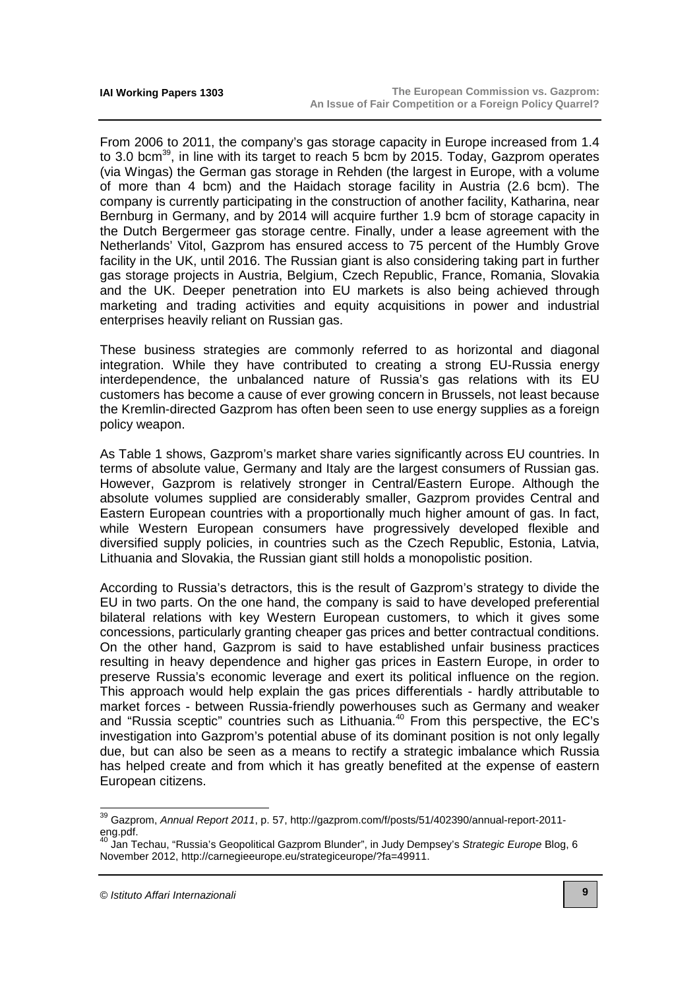From 2006 to 2011, the company's gas storage capacity in Europe increased from 1.4 to 3.0 bcm<sup>39</sup>, in line with its target to reach 5 bcm by 2015. Today, Gazprom operates (via Wingas) the German gas storage in Rehden (the largest in Europe, with a volume of more than 4 bcm) and the Haidach storage facility in Austria (2.6 bcm). The company is currently participating in the construction of another facility, Katharina, near Bernburg in Germany, and by 2014 will acquire further 1.9 bcm of storage capacity in the Dutch Bergermeer gas storage centre. Finally, under a lease agreement with the Netherlands' Vitol, Gazprom has ensured access to 75 percent of the Humbly Grove facility in the UK, until 2016. The Russian giant is also considering taking part in further gas storage projects in Austria, Belgium, Czech Republic, France, Romania, Slovakia and the UK. Deeper penetration into EU markets is also being achieved through marketing and trading activities and equity acquisitions in power and industrial enterprises heavily reliant on Russian gas.

These business strategies are commonly referred to as horizontal and diagonal integration. While they have contributed to creating a strong EU-Russia energy interdependence, the unbalanced nature of Russia's gas relations with its EU customers has become a cause of ever growing concern in Brussels, not least because the Kremlin-directed Gazprom has often been seen to use energy supplies as a foreign policy weapon.

As Table 1 shows, Gazprom's market share varies significantly across EU countries. In terms of absolute value, Germany and Italy are the largest consumers of Russian gas. However, Gazprom is relatively stronger in Central/Eastern Europe. Although the absolute volumes supplied are considerably smaller, Gazprom provides Central and Eastern European countries with a proportionally much higher amount of gas. In fact, while Western European consumers have progressively developed flexible and diversified supply policies, in countries such as the Czech Republic, Estonia, Latvia, Lithuania and Slovakia, the Russian giant still holds a monopolistic position.

According to Russia's detractors, this is the result of Gazprom's strategy to divide the EU in two parts. On the one hand, the company is said to have developed preferential bilateral relations with key Western European customers, to which it gives some concessions, particularly granting cheaper gas prices and better contractual conditions. On the other hand, Gazprom is said to have established unfair business practices resulting in heavy dependence and higher gas prices in Eastern Europe, in order to preserve Russia's economic leverage and exert its political influence on the region. This approach would help explain the gas prices differentials - hardly attributable to market forces - between Russia-friendly powerhouses such as Germany and weaker and "Russia sceptic" countries such as Lithuania.<sup>40</sup> From this perspective, the EC's investigation into Gazprom's potential abuse of its dominant position is not only legally due, but can also be seen as a means to rectify a strategic imbalance which Russia has helped create and from which it has greatly benefited at the expense of eastern European citizens.

 $\overline{a}$ 

<sup>&</sup>lt;sup>39</sup> Gazprom, *Annual Report* 2011[, p. 57, http://gazprom.com/f/posts/51/402390/annual-report-2011](http://gazprom.com/f/posts/51/402390/annual-report-2011-eng.pdf) eng.pdf.

<sup>&</sup>lt;sup>40</sup> Jan Techau, "Russia's Geopolitical Gazprom Blunder", in Judy Dempsey's Strategic Europe Blog, 6 November 2012, [http://carnegieeurope.eu/strategiceurope/?fa=49911.](http://carnegieeurope.eu/strategiceurope/?fa=49911)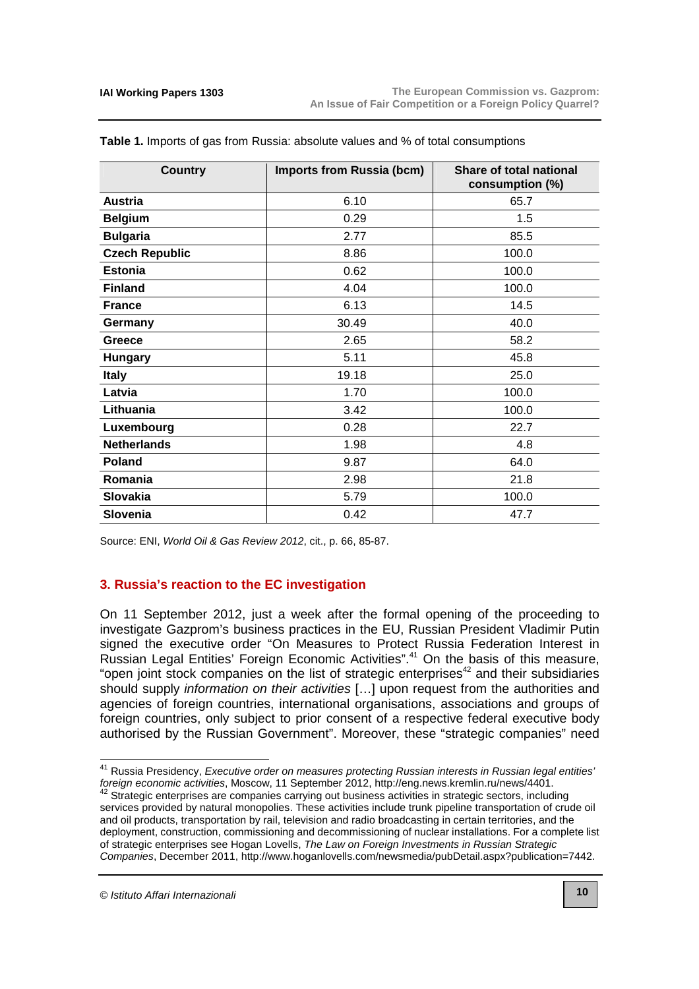| <b>Country</b>        | <b>Imports from Russia (bcm)</b> | Share of total national<br>consumption (%) |
|-----------------------|----------------------------------|--------------------------------------------|
| <b>Austria</b>        | 6.10                             | 65.7                                       |
| <b>Belgium</b>        | 0.29                             | 1.5                                        |
| <b>Bulgaria</b>       | 2.77                             | 85.5                                       |
| <b>Czech Republic</b> | 8.86                             | 100.0                                      |
| <b>Estonia</b>        | 0.62                             | 100.0                                      |
| <b>Finland</b>        | 4.04                             | 100.0                                      |
| <b>France</b>         | 6.13                             | 14.5                                       |
| Germany               | 30.49                            | 40.0                                       |
| Greece                | 2.65                             | 58.2                                       |
| <b>Hungary</b>        | 5.11                             | 45.8                                       |
| <b>Italy</b>          | 19.18                            | 25.0                                       |
| Latvia                | 1.70                             | 100.0                                      |
| Lithuania             | 3.42                             | 100.0                                      |
| Luxembourg            | 0.28                             | 22.7                                       |
| <b>Netherlands</b>    | 1.98                             | 4.8                                        |
| <b>Poland</b>         | 9.87                             | 64.0                                       |
| Romania               | 2.98                             | 21.8                                       |
| <b>Slovakia</b>       | 5.79                             | 100.0                                      |
| <b>Slovenia</b>       | 0.42                             | 47.7                                       |

**Table 1.** Imports of gas from Russia: absolute values and % of total consumptions

Source: ENI, World Oil & Gas Review 2012, cit., p. 66, 85-87.

#### **3. Russia's reaction to the EC investigation**

On 11 September 2012, just a week after the formal opening of the proceeding to investigate Gazprom's business practices in the EU, Russian President Vladimir Putin signed the executive order "On Measures to Protect Russia Federation Interest in Russian Legal Entities' Foreign Economic Activities".<sup>41</sup> On the basis of this measure, "open joint stock companies on the list of strategic enterprises $42$  and their subsidiaries should supply *information on their activities* [...] upon request from the authorities and agencies of foreign countries, international organisations, associations and groups of foreign countries, only subject to prior consent of a respective federal executive body authorised by the Russian Government". Moreover, these "strategic companies" need

j

<sup>&</sup>lt;sup>41</sup> Russia Presidency, Executive order on measures protecting Russian interests in Russian legal entities' foreign economic activities, Moscow, 11 September 2012, [http://eng.news.kremlin.ru/news/4401.](http://eng.news.kremlin.ru/news/4401)

 $42$  Strategic enterprises are companies carrying out business activities in strategic sectors, including services provided by natural monopolies. These activities include trunk pipeline transportation of crude oil and oil products, transportation by rail, television and radio broadcasting in certain territories, and the deployment, construction, commissioning and decommissioning of nuclear installations. For a complete list of strategic enterprises see Hogan Lovells, The Law on Foreign Investments in Russian Strategic Companies, December 2011, [http://www.hoganlovells.com/newsmedia/pubDetail.aspx?publication=7442.](http://www.hoganlovells.com/newsmedia/pubDetail.aspx?publication=7442)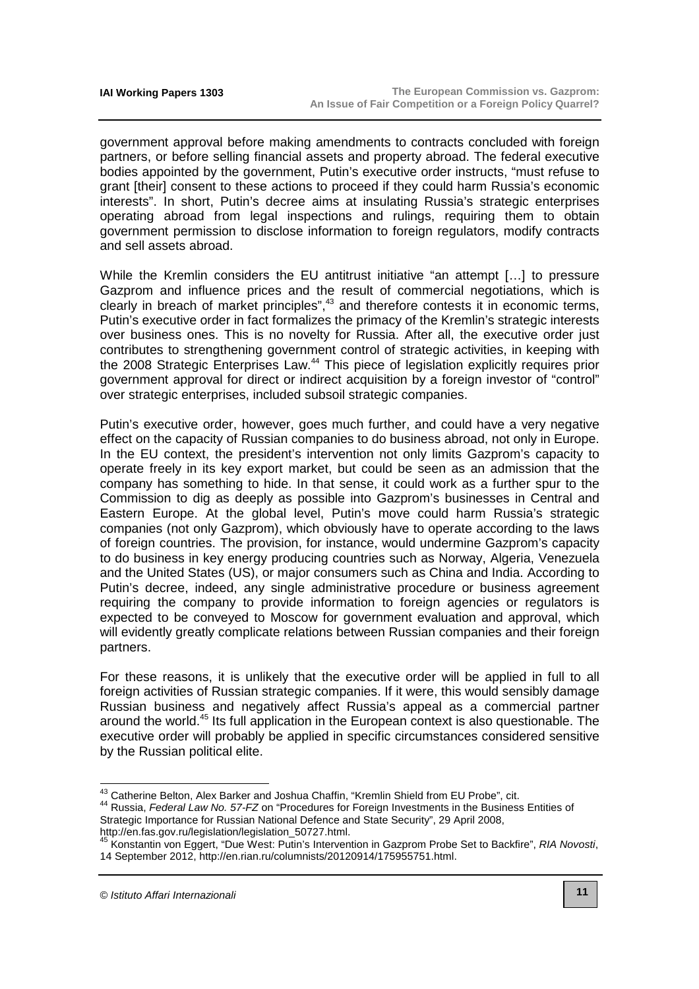government approval before making amendments to contracts concluded with foreign partners, or before selling financial assets and property abroad. The federal executive bodies appointed by the government, Putin's executive order instructs, "must refuse to grant [their] consent to these actions to proceed if they could harm Russia's economic interests". In short, Putin's decree aims at insulating Russia's strategic enterprises operating abroad from legal inspections and rulings, requiring them to obtain government permission to disclose information to foreign regulators, modify contracts and sell assets abroad.

While the Kremlin considers the EU antitrust initiative "an attempt [...] to pressure Gazprom and influence prices and the result of commercial negotiations, which is clearly in breach of market principles",<sup>43</sup> and therefore contests it in economic terms, Putin's executive order in fact formalizes the primacy of the Kremlin's strategic interests over business ones. This is no novelty for Russia. After all, the executive order just contributes to strengthening government control of strategic activities, in keeping with the 2008 Strategic Enterprises Law.<sup>44</sup> This piece of legislation explicitly requires prior government approval for direct or indirect acquisition by a foreign investor of "control" over strategic enterprises, included subsoil strategic companies.

Putin's executive order, however, goes much further, and could have a very negative effect on the capacity of Russian companies to do business abroad, not only in Europe. In the EU context, the president's intervention not only limits Gazprom's capacity to operate freely in its key export market, but could be seen as an admission that the company has something to hide. In that sense, it could work as a further spur to the Commission to dig as deeply as possible into Gazprom's businesses in Central and Eastern Europe. At the global level, Putin's move could harm Russia's strategic companies (not only Gazprom), which obviously have to operate according to the laws of foreign countries. The provision, for instance, would undermine Gazprom's capacity to do business in key energy producing countries such as Norway, Algeria, Venezuela and the United States (US), or major consumers such as China and India. According to Putin's decree, indeed, any single administrative procedure or business agreement requiring the company to provide information to foreign agencies or regulators is expected to be conveyed to Moscow for government evaluation and approval, which will evidently greatly complicate relations between Russian companies and their foreign partners.

For these reasons, it is unlikely that the executive order will be applied in full to all foreign activities of Russian strategic companies. If it were, this would sensibly damage Russian business and negatively affect Russia's appeal as a commercial partner around the world.<sup>45</sup> Its full application in the European context is also questionable. The executive order will probably be applied in specific circumstances considered sensitive by the Russian political elite.

j

 $^{43}$  Catherine Belton, Alex Barker and Joshua Chaffin, "Kremlin Shield from EU Probe", cit.

<sup>44</sup> Russia, Federal Law No. 57-FZ on "Procedures for Foreign Investments in the Business Entities of Strategic Importance for Russian National Defence and State Security", 29 April 2008,

[http://en.fas.gov.ru/legislation/legislation\\_50727.html.](http://en.fas.gov.ru/legislation/legislation_50727.html)

<sup>45</sup> Konstantin von Eggert, "Due West: Putin's Intervention in Gazprom Probe Set to Backfire", RIA Novosti, 14 September 2012, [http://en.rian.ru/columnists/20120914/175955751.html.](http://en.rian.ru/columnists/20120914/175955751.html)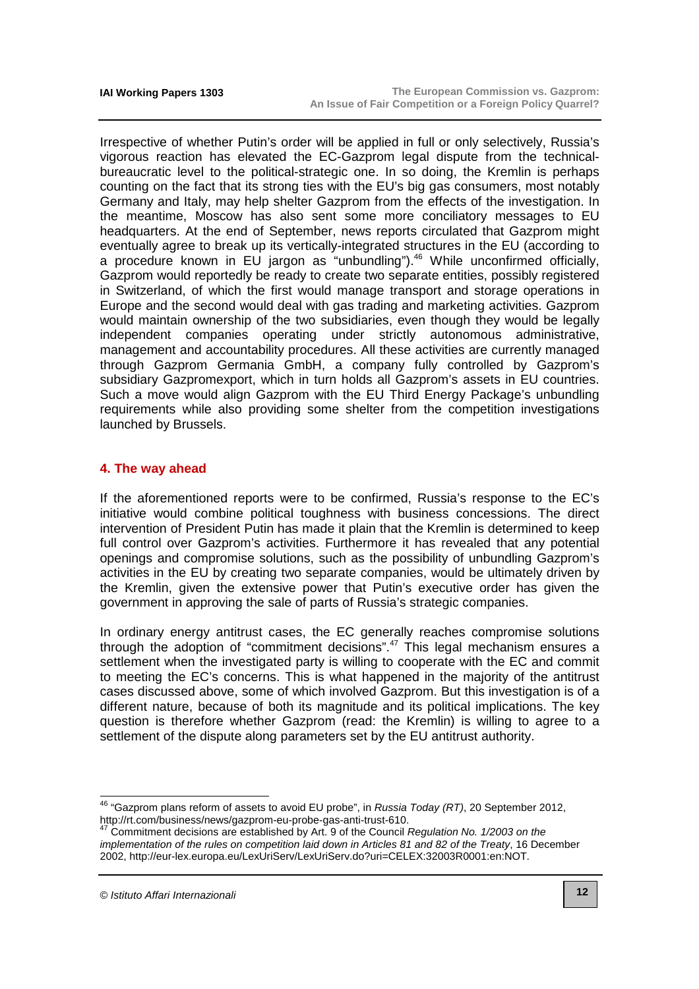Irrespective of whether Putin's order will be applied in full or only selectively, Russia's vigorous reaction has elevated the EC-Gazprom legal dispute from the technicalbureaucratic level to the political-strategic one. In so doing, the Kremlin is perhaps counting on the fact that its strong ties with the EU's big gas consumers, most notably Germany and Italy, may help shelter Gazprom from the effects of the investigation. In the meantime, Moscow has also sent some more conciliatory messages to EU headquarters. At the end of September, news reports circulated that Gazprom might eventually agree to break up its vertically-integrated structures in the EU (according to a procedure known in EU jargon as "unbundling").<sup>46</sup> While unconfirmed officially, Gazprom would reportedly be ready to create two separate entities, possibly registered in Switzerland, of which the first would manage transport and storage operations in Europe and the second would deal with gas trading and marketing activities. Gazprom would maintain ownership of the two subsidiaries, even though they would be legally independent companies operating under strictly autonomous administrative, management and accountability procedures. All these activities are currently managed through Gazprom Germania GmbH, a company fully controlled by Gazprom's subsidiary Gazpromexport, which in turn holds all Gazprom's assets in EU countries. Such a move would align Gazprom with the EU Third Energy Package's unbundling requirements while also providing some shelter from the competition investigations launched by Brussels.

## **4. The way ahead**

If the aforementioned reports were to be confirmed, Russia's response to the EC's initiative would combine political toughness with business concessions. The direct intervention of President Putin has made it plain that the Kremlin is determined to keep full control over Gazprom's activities. Furthermore it has revealed that any potential openings and compromise solutions, such as the possibility of unbundling Gazprom's activities in the EU by creating two separate companies, would be ultimately driven by the Kremlin, given the extensive power that Putin's executive order has given the government in approving the sale of parts of Russia's strategic companies.

In ordinary energy antitrust cases, the EC generally reaches compromise solutions through the adoption of "commitment decisions".<sup>47</sup> This legal mechanism ensures a settlement when the investigated party is willing to cooperate with the EC and commit to meeting the EC's concerns. This is what happened in the majority of the antitrust cases discussed above, some of which involved Gazprom. But this investigation is of a different nature, because of both its magnitude and its political implications. The key question is therefore whether Gazprom (read: the Kremlin) is willing to agree to a settlement of the dispute along parameters set by the EU antitrust authority.

© Istituto Affari Internazionali

<sup>&</sup>lt;sup>46</sup> "Gazprom plans reform of assets to avoid EU probe", in Russia Today (RT), 20 September 2012, [http://rt.com/business/news/gazprom-eu-probe-gas-anti-trust-610.](http://rt.com/business/news/gazprom-eu-probe-gas-anti-trust-610)

<sup>47</sup> Commitment decisions are established by Art. 9 of the Council Regulation No. 1/2003 on the implementation of the rules on competition laid down in Articles 81 and 82 of the Treaty, 16 December 2002, [http://eur-lex.europa.eu/LexUriServ/LexUriServ.do?uri=CELEX:32003R0001:en:NOT.](http://eur-lex.europa.eu/LexUriServ/LexUriServ.do?uri=CELEX:32003R0001:en:NOT)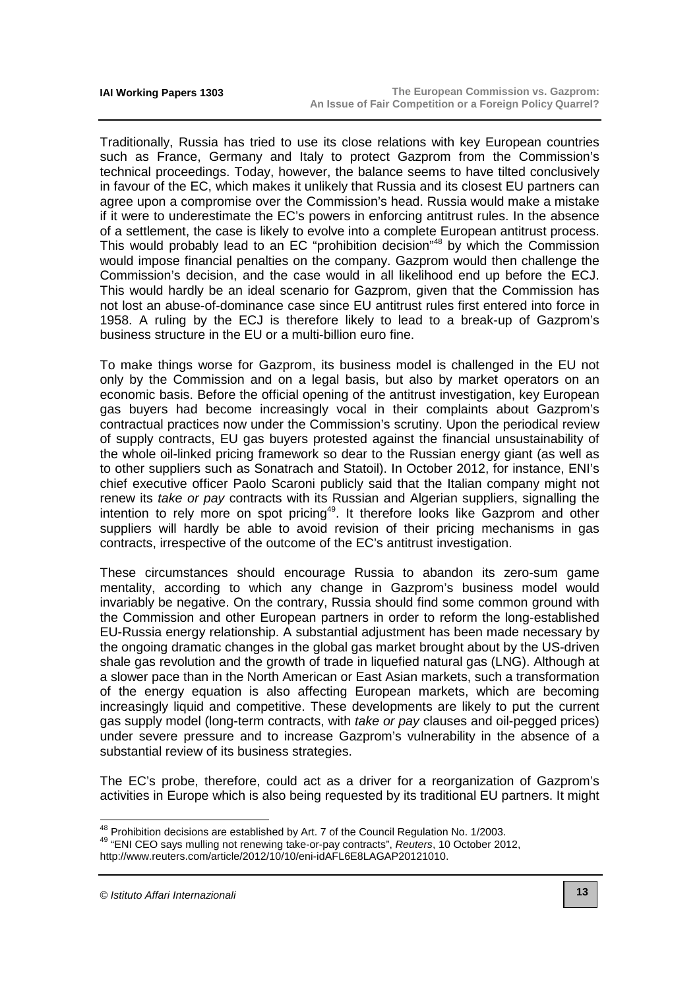Traditionally, Russia has tried to use its close relations with key European countries such as France, Germany and Italy to protect Gazprom from the Commission's technical proceedings. Today, however, the balance seems to have tilted conclusively in favour of the EC, which makes it unlikely that Russia and its closest EU partners can agree upon a compromise over the Commission's head. Russia would make a mistake if it were to underestimate the EC's powers in enforcing antitrust rules. In the absence of a settlement, the case is likely to evolve into a complete European antitrust process. This would probably lead to an EC "prohibition decision"<sup>48</sup> by which the Commission would impose financial penalties on the company. Gazprom would then challenge the Commission's decision, and the case would in all likelihood end up before the ECJ. This would hardly be an ideal scenario for Gazprom, given that the Commission has not lost an abuse-of-dominance case since EU antitrust rules first entered into force in 1958. A ruling by the ECJ is therefore likely to lead to a break-up of Gazprom's business structure in the EU or a multi-billion euro fine.

To make things worse for Gazprom, its business model is challenged in the EU not only by the Commission and on a legal basis, but also by market operators on an economic basis. Before the official opening of the antitrust investigation, key European gas buyers had become increasingly vocal in their complaints about Gazprom's contractual practices now under the Commission's scrutiny. Upon the periodical review of supply contracts, EU gas buyers protested against the financial unsustainability of the whole oil-linked pricing framework so dear to the Russian energy giant (as well as to other suppliers such as Sonatrach and Statoil). In October 2012, for instance, ENI's chief executive officer Paolo Scaroni publicly said that the Italian company might not renew its take or pay contracts with its Russian and Algerian suppliers, signalling the intention to rely more on spot pricing<sup>49</sup>. It therefore looks like Gazprom and other suppliers will hardly be able to avoid revision of their pricing mechanisms in gas contracts, irrespective of the outcome of the EC's antitrust investigation.

These circumstances should encourage Russia to abandon its zero-sum game mentality, according to which any change in Gazprom's business model would invariably be negative. On the contrary, Russia should find some common ground with the Commission and other European partners in order to reform the long-established EU-Russia energy relationship. A substantial adjustment has been made necessary by the ongoing dramatic changes in the global gas market brought about by the US-driven shale gas revolution and the growth of trade in liquefied natural gas (LNG). Although at a slower pace than in the North American or East Asian markets, such a transformation of the energy equation is also affecting European markets, which are becoming increasingly liquid and competitive. These developments are likely to put the current gas supply model (long-term contracts, with take or pay clauses and oil-pegged prices) under severe pressure and to increase Gazprom's vulnerability in the absence of a substantial review of its business strategies.

The EC's probe, therefore, could act as a driver for a reorganization of Gazprom's activities in Europe which is also being requested by its traditional EU partners. It might

© Istituto Affari Internazionali

 $48$  Prohibition decisions are established by Art. 7 of the Council Regulation No. 1/2003.

<sup>49</sup> "ENI CEO says mulling not renewing take-or-pay contracts", Reuters, 10 October 2012,

[http://www.reuters.com/article/2012/10/10/eni-idAFL6E8LAGAP20121010.](http://www.reuters.com/article/2012/10/10/eni-idAFL6E8LAGAP20121010)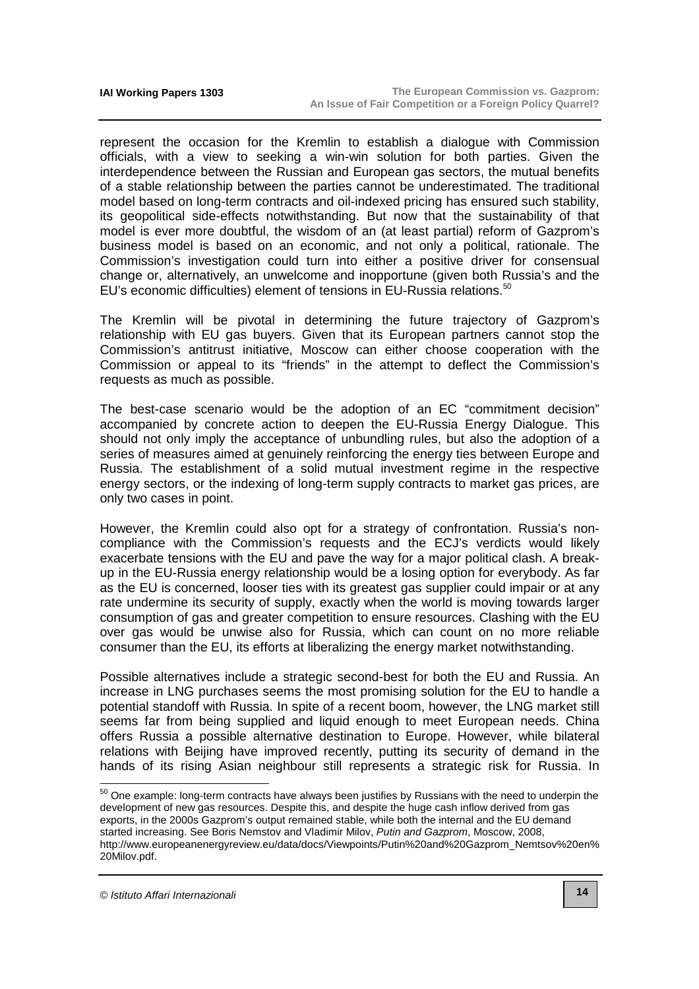represent the occasion for the Kremlin to establish a dialogue with Commission officials, with a view to seeking a win-win solution for both parties. Given the interdependence between the Russian and European gas sectors, the mutual benefits of a stable relationship between the parties cannot be underestimated. The traditional model based on long-term contracts and oil-indexed pricing has ensured such stability, its geopolitical side-effects notwithstanding. But now that the sustainability of that model is ever more doubtful, the wisdom of an (at least partial) reform of Gazprom's business model is based on an economic, and not only a political, rationale. The Commission's investigation could turn into either a positive driver for consensual change or, alternatively, an unwelcome and inopportune (given both Russia's and the EU's economic difficulties) element of tensions in EU-Russia relations.<sup>50</sup>

The Kremlin will be pivotal in determining the future trajectory of Gazprom's relationship with EU gas buyers. Given that its European partners cannot stop the Commission's antitrust initiative, Moscow can either choose cooperation with the Commission or appeal to its "friends" in the attempt to deflect the Commission's requests as much as possible.

The best-case scenario would be the adoption of an EC "commitment decision" accompanied by concrete action to deepen the EU-Russia Energy Dialogue. This should not only imply the acceptance of unbundling rules, but also the adoption of a series of measures aimed at genuinely reinforcing the energy ties between Europe and Russia. The establishment of a solid mutual investment regime in the respective energy sectors, or the indexing of long-term supply contracts to market gas prices, are only two cases in point.

However, the Kremlin could also opt for a strategy of confrontation. Russia's noncompliance with the Commission's requests and the ECJ's verdicts would likely exacerbate tensions with the EU and pave the way for a major political clash. A breakup in the EU-Russia energy relationship would be a losing option for everybody. As far as the EU is concerned, looser ties with its greatest gas supplier could impair or at any rate undermine its security of supply, exactly when the world is moving towards larger consumption of gas and greater competition to ensure resources. Clashing with the EU over gas would be unwise also for Russia, which can count on no more reliable consumer than the EU, its efforts at liberalizing the energy market notwithstanding.

Possible alternatives include a strategic second-best for both the EU and Russia. An increase in LNG purchases seems the most promising solution for the EU to handle a potential standoff with Russia. In spite of a recent boom, however, the LNG market still seems far from being supplied and liquid enough to meet European needs. China offers Russia a possible alternative destination to Europe. However, while bilateral relations with Beijing have improved recently, putting its security of demand in the hands of its rising Asian neighbour still represents a strategic risk for Russia. In

 $\overline{a}$ 

<sup>&</sup>lt;sup>50</sup> One example: long-term contracts have always been justifies by Russians with the need to underpin the development of new gas resources. Despite this, and despite the huge cash inflow derived from gas exports, in the 2000s Gazprom's output remained stable, while both the internal and the EU demand started increasing. See Boris Nemstov and Vladimir Milov, Putin and Gazprom, Moscow, 2008, [http://www.europeanenergyreview.eu/data/docs/Viewpoints/Putin%20and%20Gazprom\\_Nemtsov%20en%](http://www.europeanenergyreview.eu/data/docs/Viewpoints/Putin%20and%20Gazprom_Nemtsov%20en%) 20Milov.pdf.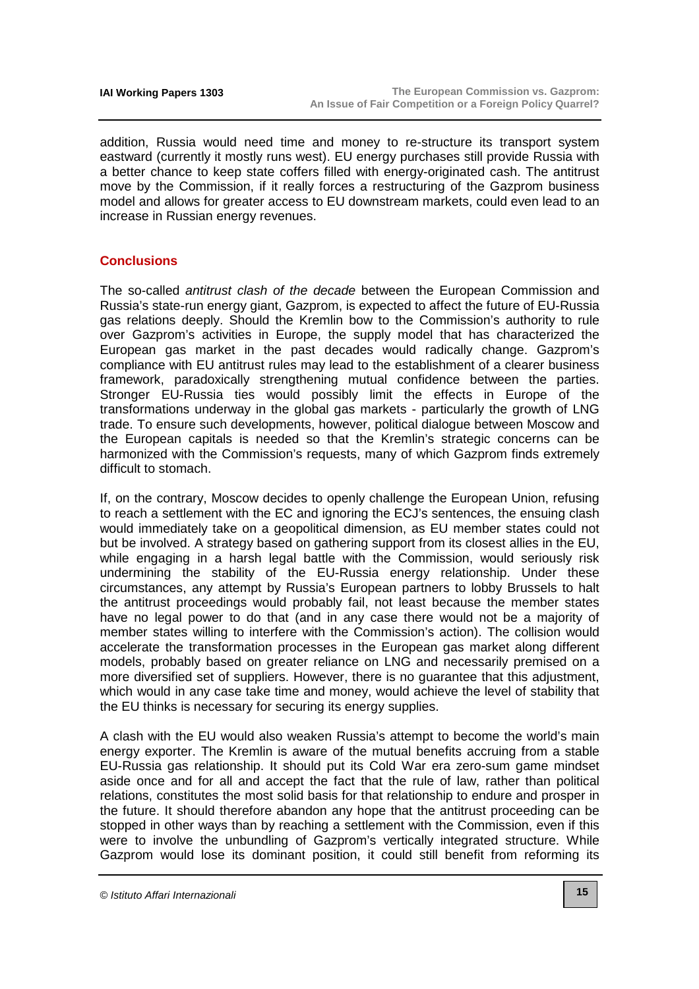addition, Russia would need time and money to re-structure its transport system eastward (currently it mostly runs west). EU energy purchases still provide Russia with a better chance to keep state coffers filled with energy-originated cash. The antitrust move by the Commission, if it really forces a restructuring of the Gazprom business model and allows for greater access to EU downstream markets, could even lead to an increase in Russian energy revenues.

## **Conclusions**

The so-called *antitrust clash of the decade* between the European Commission and Russia's state-run energy giant, Gazprom, is expected to affect the future of EU-Russia gas relations deeply. Should the Kremlin bow to the Commission's authority to rule over Gazprom's activities in Europe, the supply model that has characterized the European gas market in the past decades would radically change. Gazprom's compliance with EU antitrust rules may lead to the establishment of a clearer business framework, paradoxically strengthening mutual confidence between the parties. Stronger EU-Russia ties would possibly limit the effects in Europe of the transformations underway in the global gas markets - particularly the growth of LNG trade. To ensure such developments, however, political dialogue between Moscow and the European capitals is needed so that the Kremlin's strategic concerns can be harmonized with the Commission's requests, many of which Gazprom finds extremely difficult to stomach.

If, on the contrary, Moscow decides to openly challenge the European Union, refusing to reach a settlement with the EC and ignoring the ECJ's sentences, the ensuing clash would immediately take on a geopolitical dimension, as EU member states could not but be involved. A strategy based on gathering support from its closest allies in the EU, while engaging in a harsh legal battle with the Commission, would seriously risk undermining the stability of the EU-Russia energy relationship. Under these circumstances, any attempt by Russia's European partners to lobby Brussels to halt the antitrust proceedings would probably fail, not least because the member states have no legal power to do that (and in any case there would not be a majority of member states willing to interfere with the Commission's action). The collision would accelerate the transformation processes in the European gas market along different models, probably based on greater reliance on LNG and necessarily premised on a more diversified set of suppliers. However, there is no guarantee that this adjustment, which would in any case take time and money, would achieve the level of stability that the EU thinks is necessary for securing its energy supplies.

A clash with the EU would also weaken Russia's attempt to become the world's main energy exporter. The Kremlin is aware of the mutual benefits accruing from a stable EU-Russia gas relationship. It should put its Cold War era zero-sum game mindset aside once and for all and accept the fact that the rule of law, rather than political relations, constitutes the most solid basis for that relationship to endure and prosper in the future. It should therefore abandon any hope that the antitrust proceeding can be stopped in other ways than by reaching a settlement with the Commission, even if this were to involve the unbundling of Gazprom's vertically integrated structure. While Gazprom would lose its dominant position, it could still benefit from reforming its

<sup>©</sup> Istituto Affari Internazionali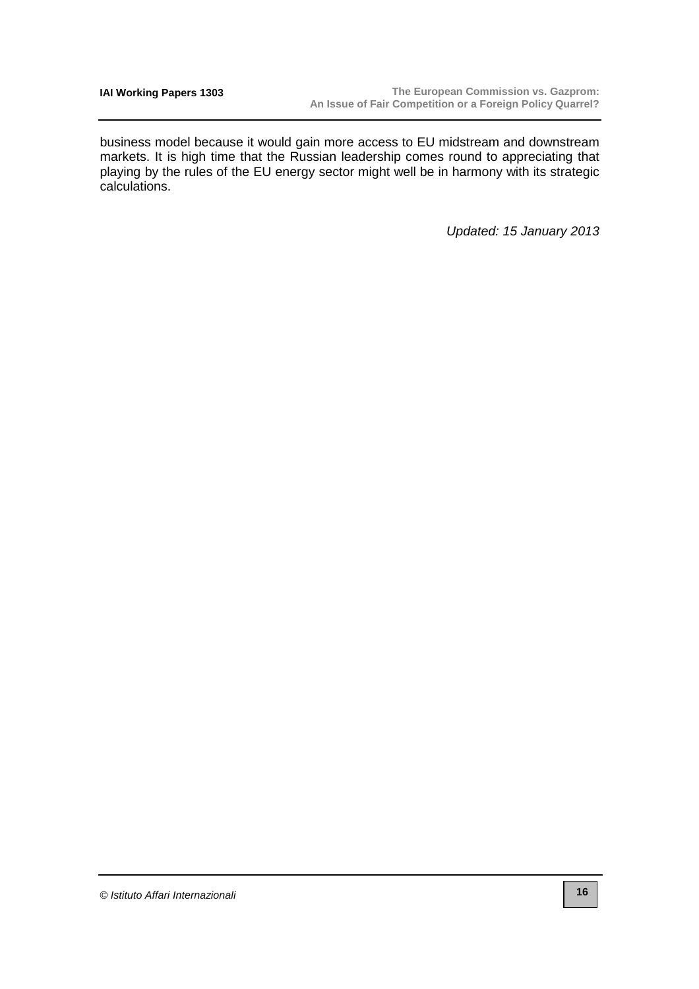business model because it would gain more access to EU midstream and downstream markets. It is high time that the Russian leadership comes round to appreciating that playing by the rules of the EU energy sector might well be in harmony with its strategic calculations.

Updated: 15 January 2013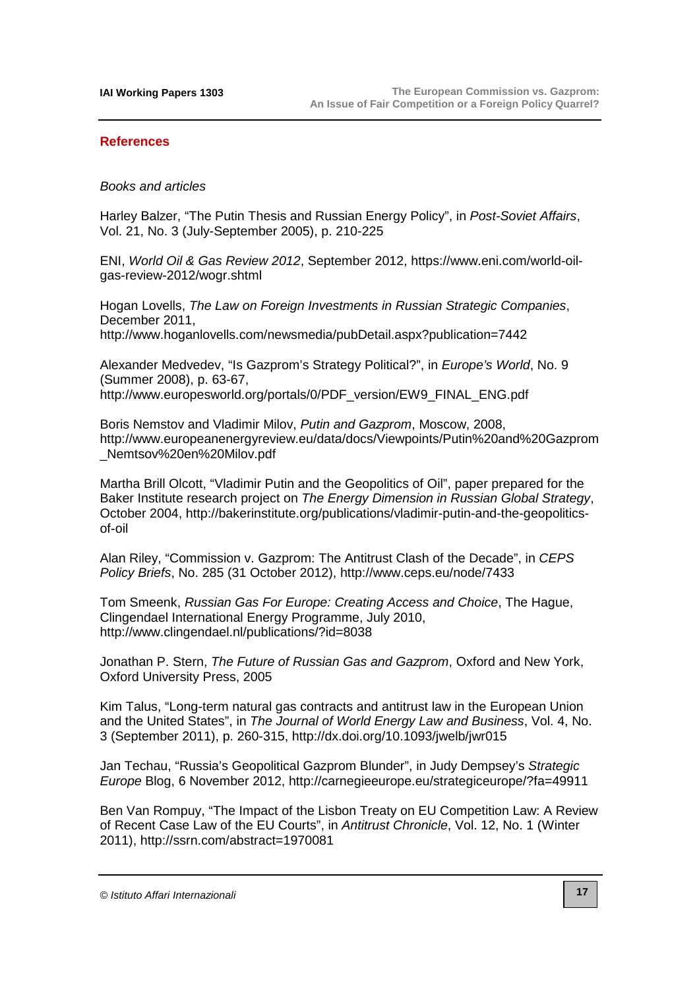#### **References**

#### Books and articles

Harley Balzer, "The Putin Thesis and Russian Energy Policy", in Post-Soviet Affairs, Vol. 21, No. 3 (July-September 2005), p. 210-225

ENI, World Oil & Gas Review 2012[, September 2012, https://www.eni.com/world-oil](https://www.eni.com/world-oil-gas-review-2012/wogr.shtml)gas-review-2012/wogr.shtml

Hogan Lovells, The Law on Foreign Investments in Russian Strategic Companies, December 2011,

<http://www.hoganlovells.com/newsmedia/pubDetail.aspx?publication=7442>

Alexander Medvedev, "Is Gazprom's Strategy Political?", in Europe's World, No. 9 (Summer 2008), p. 63-67, [http://www.europesworld.org/portals/0/PDF\\_version/EW9\\_FINAL\\_ENG.pdf](http://www.europesworld.org/portals/0/PDF_version/EW9_FINAL_ENG.pdf)

Boris Nemstov and Vladimir Milov, Putin and Gazprom, Moscow, 2008, <http://www.europeanenergyreview.eu/data/docs/Viewpoints/Putin%20and%20Gazprom> \_Nemtsov%20en%20Milov.pdf

Martha Brill Olcott, "Vladimir Putin and the Geopolitics of Oil", paper prepared for the Baker Institute research project on The Energy Dimension in Russian Global Strategy, [October 2004, http://bakerinstitute.org/publications/vladimir-putin-and-the-geopolitics](http://bakerinstitute.org/publications/vladimir-putin-and-the-geopolitics-of-oil)of-oil

Alan Riley, "Commission v. Gazprom: The Antitrust Clash of the Decade", in CEPS Policy Briefs, No. 285 (31 October 2012), <http://www.ceps.eu/node/7433>

Tom Smeenk, Russian Gas For Europe: Creating Access and Choice, The Hague, Clingendael International Energy Programme, July 2010, <http://www.clingendael.nl/publications/?id=8038>

Jonathan P. Stern, The Future of Russian Gas and Gazprom, Oxford and New York, Oxford University Press, 2005

Kim Talus, "Long-term natural gas contracts and antitrust law in the European Union and the United States", in The Journal of World Energy Law and Business, Vol. 4, No. 3 (September 2011), p. 260-315, <http://dx.doi.org/10.1093/jwelb/jwr015>

Jan Techau, "Russia's Geopolitical Gazprom Blunder", in Judy Dempsey's Strategic Europe Blog, 6 November 2012, <http://carnegieeurope.eu/strategiceurope/?fa=49911>

Ben Van Rompuy, "The Impact of the Lisbon Treaty on EU Competition Law: A Review of Recent Case Law of the EU Courts", in Antitrust Chronicle, Vol. 12, No. 1 (Winter 2011), <http://ssrn.com/abstract=1970081>

<sup>©</sup> Istituto Affari Internazionali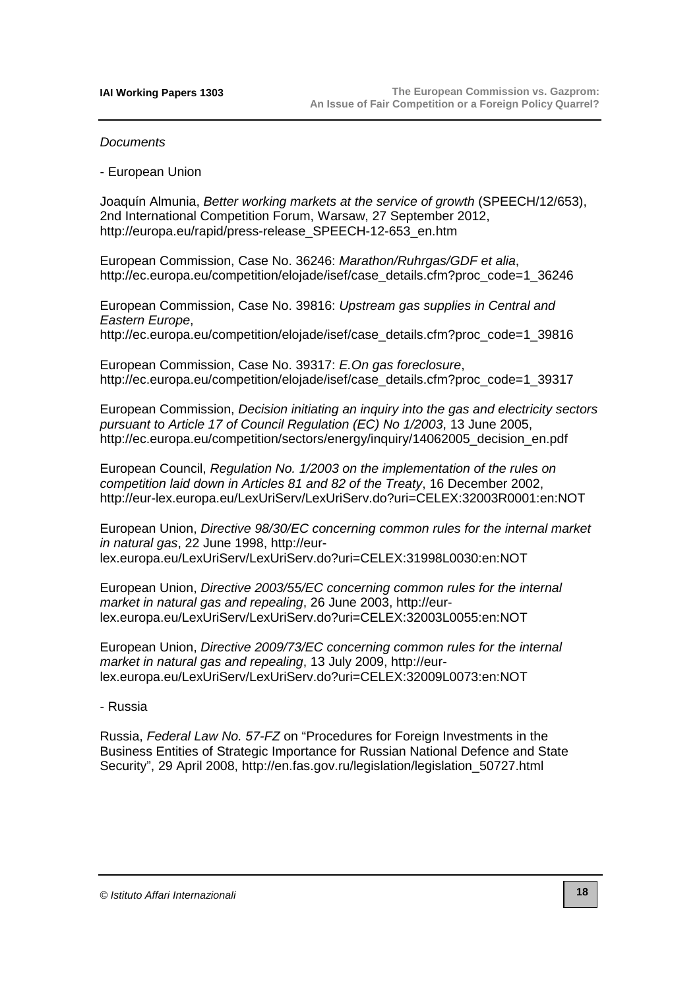#### **Documents**

- European Union

Joaquín Almunia, Better working markets at the service of growth (SPEECH/12/653), 2nd International Competition Forum, Warsaw, 27 September 2012, [http://europa.eu/rapid/press-release\\_SPEECH-12-653\\_en.htm](http://europa.eu/rapid/press-release_SPEECH-12-653_en.htm)

European Commission, Case No. 36246: Marathon/Ruhrgas/GDF et alia, [http://ec.europa.eu/competition/elojade/isef/case\\_details.cfm?proc\\_code=1\\_36246](http://ec.europa.eu/competition/elojade/isef/case_details.cfm?proc_code=1_36246)

European Commission, Case No. 39816: Upstream gas supplies in Central and Eastern Europe,

[http://ec.europa.eu/competition/elojade/isef/case\\_details.cfm?proc\\_code=1\\_39816](http://ec.europa.eu/competition/elojade/isef/case_details.cfm?proc_code=1_39816)

European Commission, Case No. 39317: E.On gas foreclosure, [http://ec.europa.eu/competition/elojade/isef/case\\_details.cfm?proc\\_code=1\\_39317](http://ec.europa.eu/competition/elojade/isef/case_details.cfm?proc_code=1_39317)

European Commission, Decision initiating an inquiry into the gas and electricity sectors pursuant to Article 17 of Council Regulation (EC) No 1/2003, 13 June 2005, [http://ec.europa.eu/competition/sectors/energy/inquiry/14062005\\_decision\\_en.pdf](http://ec.europa.eu/competition/sectors/energy/inquiry/14062005_decision_en.pdf)

European Council, Regulation No. 1/2003 on the implementation of the rules on competition laid down in Articles 81 and 82 of the Treaty, 16 December 2002, <http://eur-lex.europa.eu/LexUriServ/LexUriServ.do?uri=CELEX:32003R0001:en:NOT>

European Union, Directive 98/30/EC concerning common rules for the internal market in natural gas, 22 June 1998, http://eur[lex.europa.eu/LexUriServ/LexUriServ.do?uri=CELEX:31998L0030:en:NOT](http://eur-lex.europa.eu/LexUriServ/LexUriServ.do?uri=CELEX:31998L0030:en:NOT)

European Union, Directive 2003/55/EC concerning common rules for the internal market in natural gas and repealing, 26 June 2003, http://eur[lex.europa.eu/LexUriServ/LexUriServ.do?uri=CELEX:32003L0055:en:NOT](http://eur-lex.europa.eu/LexUriServ/LexUriServ.do?uri=CELEX:32003L0055:en:NOT)

European Union, Directive 2009/73/EC concerning common rules for the internal market in natural gas and repealing, 13 July 2009, http://eur[lex.europa.eu/LexUriServ/LexUriServ.do?uri=CELEX:32009L0073:en:NOT](http://eur-lex.europa.eu/LexUriServ/LexUriServ.do?uri=CELEX:32009L0073:en:NOT)

- Russia

Russia, Federal Law No. 57-FZ on "Procedures for Foreign Investments in the Business Entities of Strategic Importance for Russian National Defence and State Security", 29 April 2008, [http://en.fas.gov.ru/legislation/legislation\\_50727.html](http://en.fas.gov.ru/legislation/legislation_50727.html)